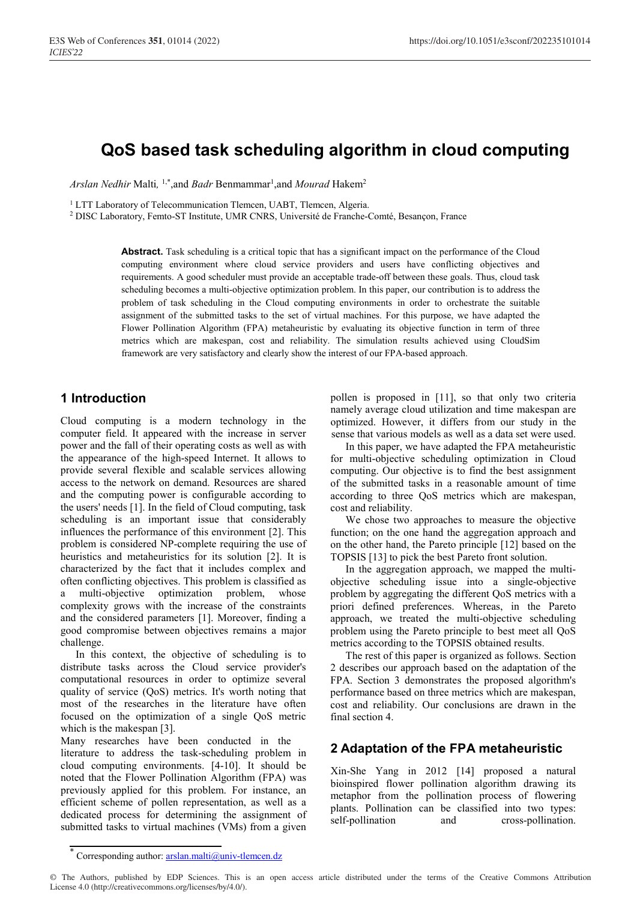# **QoS based task scheduling algorithm in cloud computing**

*Arslan Nedhir* Malti*,* 1,\*,and *Badr* Benmammar 1 ,and *Mourad* Hakem2

<sup>1</sup> LTT Laboratory of Telecommunication Tlemcen, UABT, Tlemcen, Algeria.

<sup>2</sup> DISC Laboratory, Femto-ST Institute, UMR CNRS, Université de Franche-Comté, Besançon, France

**Abstract.** Task scheduling is a critical topic that has a significant impact on the performance of the Cloud computing environment where cloud service providers and users have conflicting objectives and requirements. A good scheduler must provide an acceptable trade-off between these goals. Thus, cloud task scheduling becomes a multi-objective optimization problem. In this paper, our contribution is to address the problem of task scheduling in the Cloud computing environments in order to orchestrate the suitable assignment of the submitted tasks to the set of virtual machines. For this purpose, we have adapted the Flower Pollination Algorithm (FPA) metaheuristic by evaluating its objective function in term of three metrics which are makespan, cost and reliability. The simulation results achieved using CloudSim framework are very satisfactory and clearly show the interest of our FPA-based approach.

## **1 Introduction**

Cloud computing is a modern technology in the computer field. It appeared with the increase in server power and the fall of their operating costs as well as with the appearance of the high-speed Internet. It allows to provide several flexible and scalable services allowing access to the network on demand. Resources are shared and the computing power is configurable according to the users' needs [1]. In the field of Cloud computing, task scheduling is an important issue that considerably influences the performance of this environment [2]. This problem is considered NP-complete requiring the use of heuristics and metaheuristics for its solution [2]. It is characterized by the fact that it includes complex and often conflicting objectives. This problem is classified as a multi-objective optimization problem, whose complexity grows with the increase of the constraints and the considered parameters [1]. Moreover, finding a good compromise between objectives remains a major challenge.

In this context, the objective of scheduling is to distribute tasks across the Cloud service provider's computational resources in order to optimize several quality of service (QoS) metrics. It's worth noting that most of the researches in the literature have often focused on the optimization of a single QoS metric which is the makespan [3].

Many researches have been conducted in the literature to address the task-scheduling problem in cloud computing environments. [4-10]. It should be noted that the Flower Pollination Algorithm (FPA) was previously applied for this problem. For instance, an efficient scheme of pollen representation, as well as a dedicated process for determining the assignment of submitted tasks to virtual machines (VMs) from a given pollen is proposed in [11], so that only two criteria namely average cloud utilization and time makespan are optimized. However, it differs from our study in the sense that various models as well as a data set were used.

In this paper, we have adapted the FPA metaheuristic for multi-objective scheduling optimization in Cloud computing. Our objective is to find the best assignment of the submitted tasks in a reasonable amount of time according to three QoS metrics which are makespan, cost and reliability.

We chose two approaches to measure the objective function; on the one hand the aggregation approach and on the other hand, the Pareto principle [12] based on the TOPSIS [13] to pick the best Pareto front solution.

In the aggregation approach, we mapped the multiobjective scheduling issue into a single-objective problem by aggregating the different QoS metrics with a priori defined preferences. Whereas, in the Pareto approach, we treated the multi-objective scheduling problem using the Pareto principle to best meet all QoS metrics according to the TOPSIS obtained results.

The rest of this paper is organized as follows. Section 2 describes our approach based on the adaptation of the FPA. Section 3 demonstrates the proposed algorithm's performance based on three metrics which are makespan, cost and reliability. Our conclusions are drawn in the final section 4.

# **2 Adaptation of the FPA metaheuristic**

Xin-She Yang in 2012 [14] proposed a natural bioinspired flower pollination algorithm drawing its metaphor from the pollination process of flowering plants. Pollination can be classified into two types: self-pollination and cross-pollination.

© The Authors, published by EDP Sciences. This is an open access article distributed under the terms of the Creative Commons Attribution License 4.0 (http://creativecommons.org/licenses/by/4.0/).

Corresponding author:  $arslan.malti@univ-tlemcen.dz$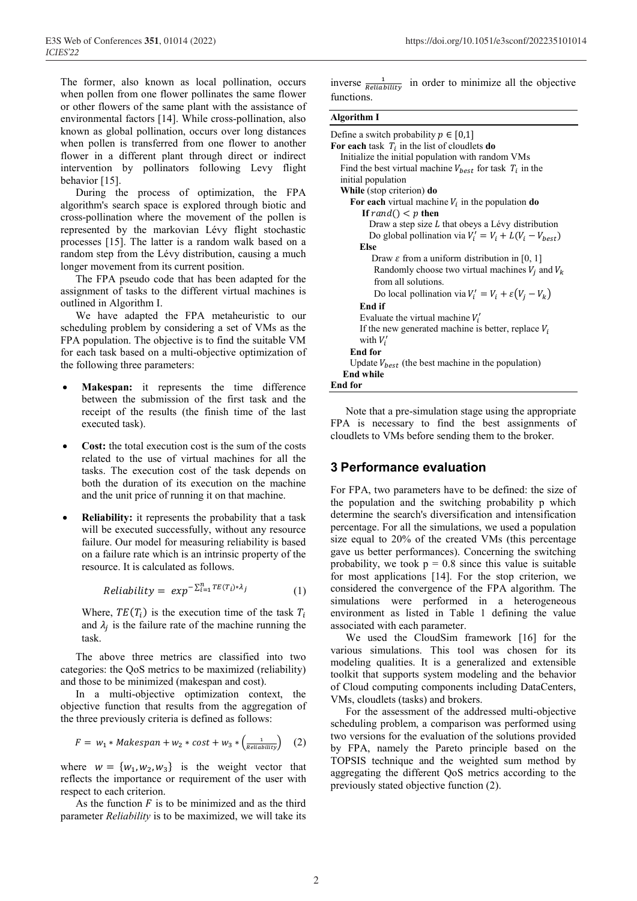The former, also known as local pollination, occurs when pollen from one flower pollinates the same flower or other flowers of the same plant with the assistance of environmental factors [14]. While cross-pollination, also known as global pollination, occurs over long distances when pollen is transferred from one flower to another flower in a different plant through direct or indirect intervention by pollinators following Levy flight behavior [15].

During the process of optimization, the FPA algorithm's search space is explored through biotic and cross-pollination where the movement of the pollen is represented by the markovian Lévy flight stochastic processes [15]. The latter is a random walk based on a random step from the Lévy distribution, causing a much longer movement from its current position.

The FPA pseudo code that has been adapted for the assignment of tasks to the different virtual machines is outlined in Algorithm I.

We have adapted the FPA metaheuristic to our scheduling problem by considering a set of VMs as the FPA population. The objective is to find the suitable VM for each task based on a multi-objective optimization of the following three parameters:

- **Makespan:** it represents the time difference between the submission of the first task and the receipt of the results (the finish time of the last executed task).
- **Cost:** the total execution cost is the sum of the costs related to the use of virtual machines for all the tasks. The execution cost of the task depends on both the duration of its execution on the machine and the unit price of running it on that machine.
- **Reliability:** it represents the probability that a task will be executed successfully, without any resource failure. Our model for measuring reliability is based on a failure rate which is an intrinsic property of the resource. It is calculated as follows.

$$
Reliability = exp^{-\sum_{i=1}^{n} TE(T_i) * \lambda_j}
$$
 (1)

Where,  $TE(T_i)$  is the execution time of the task  $T_i$ and  $\lambda_i$  is the failure rate of the machine running the task.

The above three metrics are classified into two categories: the QoS metrics to be maximized (reliability) and those to be minimized (makespan and cost).

In a multi-objective optimization context, the objective function that results from the aggregation of the three previously criteria is defined as follows:

$$
F = w_1 * Makespan + w_2 * cost + w_3 * \left(\frac{1}{Reliability}\right) \quad (2)
$$

where  $w = \{w_1, w_2, w_3\}$  is the weight vector that reflects the importance or requirement of the user with respect to each criterion.

As the function  $F$  is to be minimized and as the third parameter *Reliability* is to be maximized, we will take its inverse  $\frac{1}{Reliability}$  in order to minimize all the objective functions.

#### **Algorithm I**

| Define a switch probability $p \in [0,1]$                       |  |  |  |
|-----------------------------------------------------------------|--|--|--|
| For each task $T_i$ in the list of cloudlets do                 |  |  |  |
| Initialize the initial population with random VMs               |  |  |  |
| Find the best virtual machine $V_{best}$ for task $T_i$ in the  |  |  |  |
| initial population                                              |  |  |  |
| While (stop criterion) do                                       |  |  |  |
| For each virtual machine $V_i$ in the population do             |  |  |  |
| If rand() $\lt p$ then                                          |  |  |  |
| Draw a step size L that obeys a Lévy distribution               |  |  |  |
| Do global pollination via $V_i' = V_i + L(V_i - V_{best})$      |  |  |  |
| Else                                                            |  |  |  |
| Draw $\varepsilon$ from a uniform distribution in [0, 1]        |  |  |  |
| Randomly choose two virtual machines $V_i$ and $V_k$            |  |  |  |
| from all solutions.                                             |  |  |  |
| Do local pollination via $V_i' = V_i + \varepsilon (V_i - V_k)$ |  |  |  |
| <b>End if</b>                                                   |  |  |  |
| Evaluate the virtual machine $V_i'$                             |  |  |  |
| If the new generated machine is better, replace $V_i$           |  |  |  |
| with $V_i'$                                                     |  |  |  |
| End for                                                         |  |  |  |
| Update $V_{best}$ (the best machine in the population)          |  |  |  |
| <b>End while</b>                                                |  |  |  |
| <b>End for</b>                                                  |  |  |  |

Note that a pre-simulation stage using the appropriate FPA is necessary to find the best assignments of cloudlets to VMs before sending them to the broker.

### **3 Performance evaluation**

For FPA, two parameters have to be defined: the size of the population and the switching probability p which determine the search's diversification and intensification percentage. For all the simulations, we used a population size equal to 20% of the created VMs (this percentage gave us better performances). Concerning the switching probability, we took  $p = 0.8$  since this value is suitable for most applications [14]. For the stop criterion, we considered the convergence of the FPA algorithm. The simulations were performed in a heterogeneous environment as listed in Table 1 defining the value associated with each parameter.

We used the CloudSim framework [16] for the various simulations. This tool was chosen for its modeling qualities. It is a generalized and extensible toolkit that supports system modeling and the behavior of Cloud computing components including DataCenters, VMs, cloudlets (tasks) and brokers.

For the assessment of the addressed multi-objective scheduling problem, a comparison was performed using two versions for the evaluation of the solutions provided by FPA, namely the Pareto principle based on the TOPSIS technique and the weighted sum method by aggregating the different QoS metrics according to the previously stated objective function (2).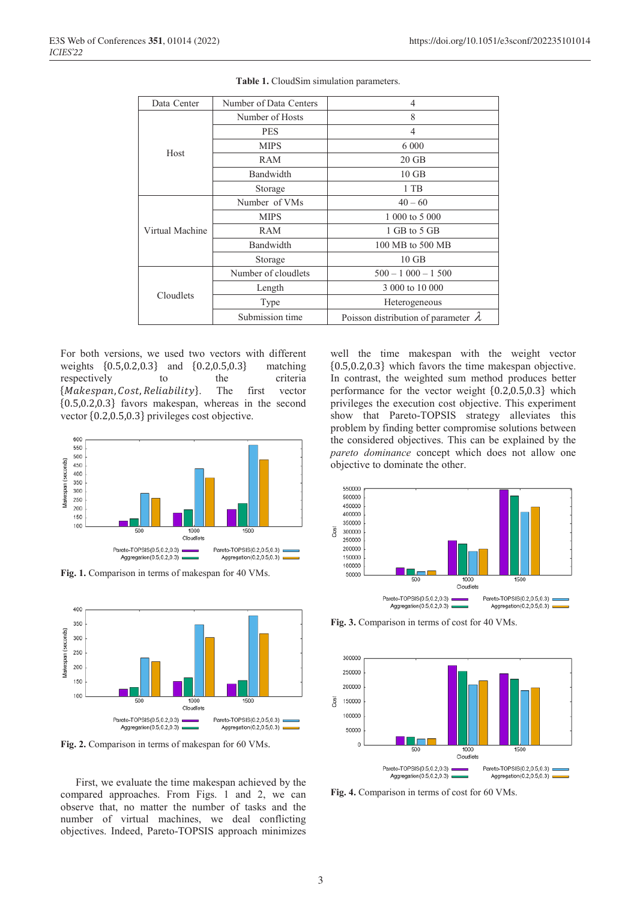| Data-Center     | Number of Data-Centers | $\overline{4}$                              |
|-----------------|------------------------|---------------------------------------------|
| Host            | Number of Hosts        | 8                                           |
|                 | <b>PES</b>             | 4                                           |
|                 | <b>MIPS</b>            | 6 0 0 0                                     |
|                 | RAM                    | $20$ GB                                     |
|                 | Bandwidth              | $10$ GB                                     |
|                 | Storage                | 1 TB                                        |
| Virtual Machine | Number of VMs          | $40 - 60$                                   |
|                 | <b>MIPS</b>            | 1 000 to 5 000                              |
|                 | RAM                    | 1 GB to 5 GB                                |
|                 | Bandwidth              | 100 MB to 500 MB                            |
|                 | Storage                | $10$ GB                                     |
| Cloudlets       | Number of cloudlets    | $500 - 1000 - 1500$                         |
|                 | Length                 | 3 000 to 10 000                             |
|                 | Type                   | Heterogeneous                               |
|                 | Submission time        | Poisson distribution of parameter $\lambda$ |

**Table 1.** CloudSim simulation parameters.

For both versions, we used two vectors with different weights  $\{0.5, 0.2, 0.3\}$  and  $\{0.2, 0.5, 0.3\}$  matching respectively to the criteria respectively {Makespan, Cost, Reliability}. The first vector {0.5,0.2,0.3} favors makespan, whereas in the second vector {0.2,0.5,0.3} privileges cost objective.



**Fig. 1.** Comparison in terms of makespan for 40 VMs.



**Fig. 2.** Comparison in terms of makespan for 60 VMs.

First, we evaluate the time makespan achieved by the compared approaches. From Figs. 1 and 2, we can observe that, no matter the number of tasks and the number of virtual machines, we deal conflicting objectives. Indeed, Pareto-TOPSIS approach minimizes

well the time makespan with the weight vector {0.5,0.2,0.3} which favors the time makespan objective. In contrast, the weighted sum method produces better performance for the vector weight {0.2,0.5,0.3} which privileges the execution cost objective. This experiment show that Pareto-TOPSIS strategy alleviates this problem by finding better compromise solutions between the considered objectives. This can be explained by the *pareto dominance* concept which does not allow one objective to dominate the other.



**Fig. 3.** Comparison in terms of cost for 40 VMs.



**Fig. 4.** Comparison in terms of cost for 60 VMs.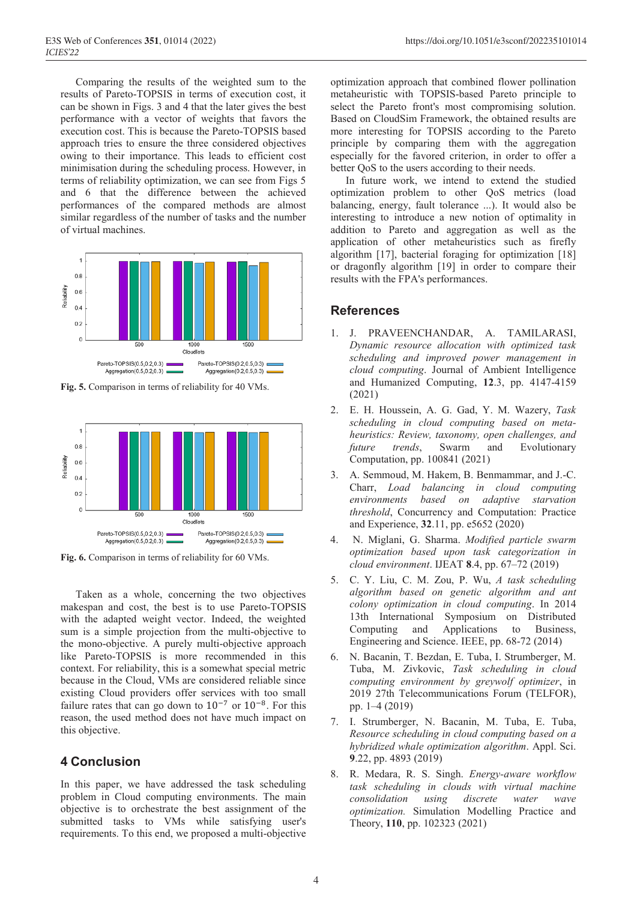Comparing the results of the weighted sum to the results of Pareto-TOPSIS in terms of execution cost, it can be shown in Figs. 3 and 4 that the later gives the best performance with a vector of weights that favors the execution cost. This is because the Pareto-TOPSIS based approach tries to ensure the three considered objectives owing to their importance. This leads to efficient cost minimisation during the scheduling process. However, in terms of reliability optimization, we can see from Figs 5 and 6 that the difference between the achieved performances of the compared methods are almost similar regardless of the number of tasks and the number of virtual machines.



**Fig. 5.** Comparison in terms of reliability for 40 VMs.



**Fig. 6.** Comparison in terms of reliability for 60 VMs.

Taken as a whole, concerning the two objectives makespan and cost, the best is to use Pareto-TOPSIS with the adapted weight vector. Indeed, the weighted sum is a simple projection from the multi-objective to the mono-objective. A purely multi-objective approach like Pareto-TOPSIS is more recommended in this context. For reliability, this is a somewhat special metric because in the Cloud, VMs are considered reliable since existing Cloud providers offer services with too small failure rates that can go down to  $10^{-7}$  or  $10^{-8}$ . For this reason, the used method does not have much impact on this objective.

### **4 Conclusion**

In this paper, we have addressed the task scheduling problem in Cloud computing environments. The main objective is to orchestrate the best assignment of the submitted tasks to VMs while satisfying user's requirements. To this end, we proposed a multi-objective

optimization approach that combined flower pollination metaheuristic with TOPSIS-based Pareto principle to select the Pareto front's most compromising solution. Based on CloudSim Framework, the obtained results are more interesting for TOPSIS according to the Pareto principle by comparing them with the aggregation especially for the favored criterion, in order to offer a better QoS to the users according to their needs.

In future work, we intend to extend the studied optimization problem to other QoS metrics (load balancing, energy, fault tolerance ...). It would also be interesting to introduce a new notion of optimality in addition to Pareto and aggregation as well as the application of other metaheuristics such as firefly algorithm [17], bacterial foraging for optimization [18] or dragonfly algorithm [19] in order to compare their results with the FPA's performances.

## **References**

- 1. J. PRAVEENCHANDAR, A. TAMILARASI, *Dynamic resource allocation with optimized task scheduling and improved power management in cloud computing*. Journal of Ambient Intelligence and Humanized Computing, **12**.3, pp. 4147-4159 (2021)
- 2. E. H. Houssein, A. G. Gad, Y. M. Wazery, *Task scheduling in cloud computing based on metaheuristics: Review, taxonomy, open challenges, and future trends*, Swarm and Evolutionary Computation, pp. 100841 (2021)
- 3. A. Semmoud, M. Hakem, B. Benmammar, and J.-C. Charr, *Load balancing in cloud computing environments based on adaptive starvation threshold*, Concurrency and Computation: Practice and Experience, **32**.11, pp. e5652 (2020)
- 4. N. Miglani, G. Sharma. *Modified particle swarm optimization based upon task categorization in cloud environment*. IJEAT **8**.4, pp. 67–72 (2019)
- 5. C. Y. Liu, C. M. Zou, P. Wu, *A task scheduling algorithm based on genetic algorithm and ant colony optimization in cloud computing*. In 2014 13th International Symposium on Distributed Computing and Applications to Business, Engineering and Science. IEEE, pp. 68-72 (2014)
- 6. N. Bacanin, T. Bezdan, E. Tuba, I. Strumberger, M. Tuba, M. Zivkovic, *Task scheduling in cloud computing environment by greywolf optimizer*, in 2019 27th Telecommunications Forum (TELFOR), pp. 1–4 (2019)
- 7. I. Strumberger, N. Bacanin, M. Tuba, E. Tuba, *Resource scheduling in cloud computing based on a hybridized whale optimization algorithm*. Appl. Sci. **9**.22, pp. 4893 (2019)
- 8. R. Medara, R. S. Singh. *Energy-aware workflow task scheduling in clouds with virtual machine consolidation using discrete water wave optimization.* Simulation Modelling Practice and Theory, **110**, pp. 102323 (2021)